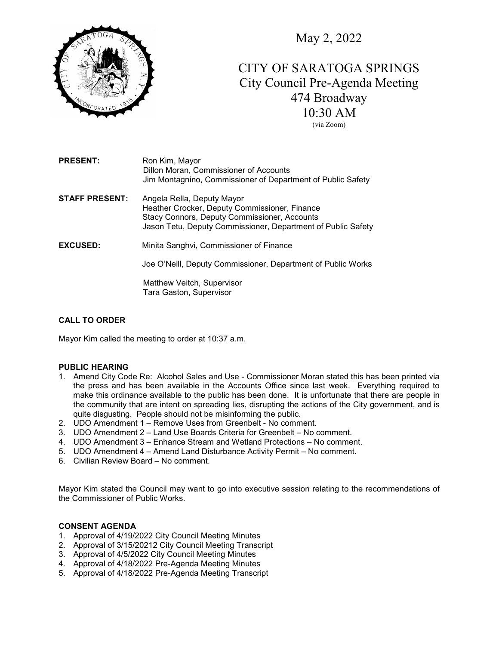

May 2, 2022

# CITY OF SARATOGA SPRINGS City Council Pre-Agenda Meeting 474 Broadway 10:30 AM

(via Zoom)

| <b>PRESENT:</b> | Ron Kim, Mayor                                              |
|-----------------|-------------------------------------------------------------|
|                 | Dillon Moran, Commissioner of Accounts                      |
|                 | Jim Montagnino, Commissioner of Department of Public Safety |

STAFF PRESENT: Angela Rella, Deputy Mayor Heather Crocker, Deputy Commissioner, Finance Stacy Connors, Deputy Commissioner, Accounts Jason Tetu, Deputy Commissioner, Department of Public Safety

EXCUSED: Minita Sanghvi, Commissioner of Finance

Joe O'Neill, Deputy Commissioner, Department of Public Works

 Matthew Veitch, Supervisor Tara Gaston, Supervisor

# CALL TO ORDER

Mayor Kim called the meeting to order at 10:37 a.m.

# PUBLIC HEARING

- 1. Amend City Code Re: Alcohol Sales and Use Commissioner Moran stated this has been printed via the press and has been available in the Accounts Office since last week. Everything required to make this ordinance available to the public has been done. It is unfortunate that there are people in the community that are intent on spreading lies, disrupting the actions of the City government, and is quite disgusting. People should not be misinforming the public.
- 2. UDO Amendment 1 Remove Uses from Greenbelt No comment.
- 3. UDO Amendment 2 Land Use Boards Criteria for Greenbelt No comment.
- 4. UDO Amendment 3 Enhance Stream and Wetland Protections No comment.
- 5. UDO Amendment 4 Amend Land Disturbance Activity Permit No comment.
- 6. Civilian Review Board No comment.

Mayor Kim stated the Council may want to go into executive session relating to the recommendations of the Commissioner of Public Works.

# CONSENT AGENDA

- 1. Approval of 4/19/2022 City Council Meeting Minutes
- 2. Approval of 3/15/20212 City Council Meeting Transcript
- 3. Approval of 4/5/2022 City Council Meeting Minutes
- 4. Approval of 4/18/2022 Pre-Agenda Meeting Minutes
- 5. Approval of 4/18/2022 Pre-Agenda Meeting Transcript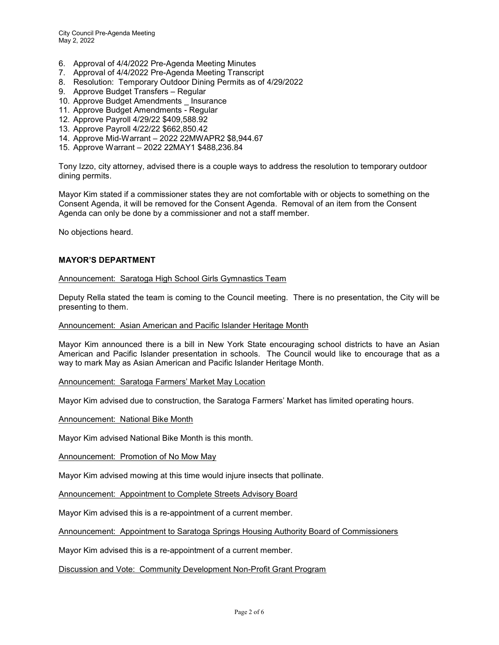- 6. Approval of 4/4/2022 Pre-Agenda Meeting Minutes
- 7. Approval of 4/4/2022 Pre-Agenda Meeting Transcript
- 8. Resolution: Temporary Outdoor Dining Permits as of 4/29/2022
- 9. Approve Budget Transfers Regular
- 10. Approve Budget Amendments Insurance
- 11. Approve Budget Amendments Regular
- 12. Approve Payroll 4/29/22 \$409,588.92
- 13. Approve Payroll 4/22/22 \$662,850.42
- 14. Approve Mid-Warrant 2022 22MWAPR2 \$8,944.67
- 15. Approve Warrant 2022 22MAY1 \$488,236.84

Tony Izzo, city attorney, advised there is a couple ways to address the resolution to temporary outdoor dining permits.

Mayor Kim stated if a commissioner states they are not comfortable with or objects to something on the Consent Agenda, it will be removed for the Consent Agenda. Removal of an item from the Consent Agenda can only be done by a commissioner and not a staff member.

No objections heard.

# MAYOR'S DEPARTMENT

#### Announcement: Saratoga High School Girls Gymnastics Team

Deputy Rella stated the team is coming to the Council meeting. There is no presentation, the City will be presenting to them.

#### Announcement: Asian American and Pacific Islander Heritage Month

Mayor Kim announced there is a bill in New York State encouraging school districts to have an Asian American and Pacific Islander presentation in schools. The Council would like to encourage that as a way to mark May as Asian American and Pacific Islander Heritage Month.

#### Announcement: Saratoga Farmers' Market May Location

Mayor Kim advised due to construction, the Saratoga Farmers' Market has limited operating hours.

Announcement: National Bike Month

Mayor Kim advised National Bike Month is this month.

Announcement: Promotion of No Mow May

Mayor Kim advised mowing at this time would injure insects that pollinate.

Announcement: Appointment to Complete Streets Advisory Board

Mayor Kim advised this is a re-appointment of a current member.

Announcement: Appointment to Saratoga Springs Housing Authority Board of Commissioners

Mayor Kim advised this is a re-appointment of a current member.

Discussion and Vote: Community Development Non-Profit Grant Program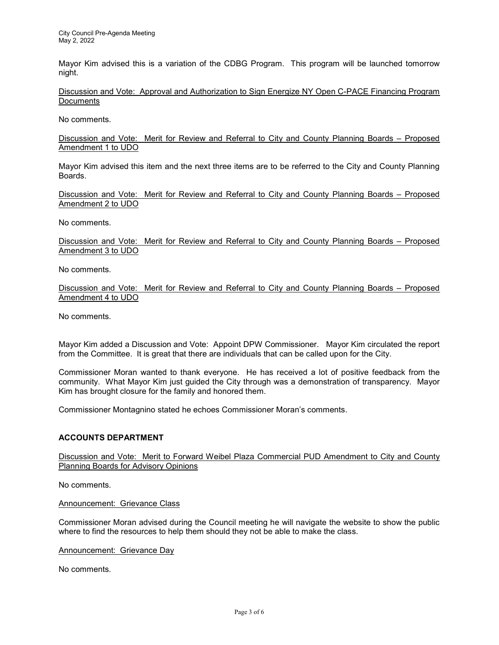Mayor Kim advised this is a variation of the CDBG Program. This program will be launched tomorrow night.

Discussion and Vote: Approval and Authorization to Sign Energize NY Open C-PACE Financing Program **Documents** 

No comments.

Discussion and Vote: Merit for Review and Referral to City and County Planning Boards – Proposed Amendment 1 to UDO

Mayor Kim advised this item and the next three items are to be referred to the City and County Planning Boards.

Discussion and Vote: Merit for Review and Referral to City and County Planning Boards – Proposed Amendment 2 to UDO

No comments.

Discussion and Vote: Merit for Review and Referral to City and County Planning Boards – Proposed Amendment 3 to UDO

No comments.

Discussion and Vote: Merit for Review and Referral to City and County Planning Boards – Proposed Amendment 4 to UDO

No comments.

Mayor Kim added a Discussion and Vote: Appoint DPW Commissioner. Mayor Kim circulated the report from the Committee. It is great that there are individuals that can be called upon for the City.

Commissioner Moran wanted to thank everyone. He has received a lot of positive feedback from the community. What Mayor Kim just guided the City through was a demonstration of transparency. Mayor Kim has brought closure for the family and honored them.

Commissioner Montagnino stated he echoes Commissioner Moran's comments.

## ACCOUNTS DEPARTMENT

Discussion and Vote: Merit to Forward Weibel Plaza Commercial PUD Amendment to City and County Planning Boards for Advisory Opinions

No comments.

Announcement: Grievance Class

Commissioner Moran advised during the Council meeting he will navigate the website to show the public where to find the resources to help them should they not be able to make the class.

Announcement: Grievance Day

No comments.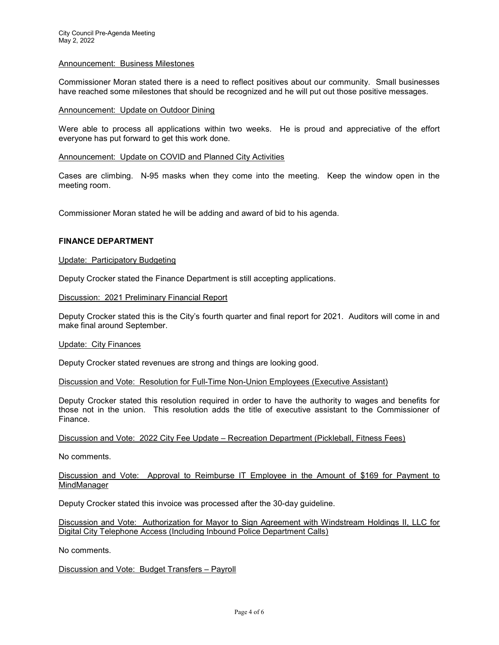#### Announcement: Business Milestones

Commissioner Moran stated there is a need to reflect positives about our community. Small businesses have reached some milestones that should be recognized and he will put out those positive messages.

#### Announcement: Update on Outdoor Dining

Were able to process all applications within two weeks. He is proud and appreciative of the effort everyone has put forward to get this work done.

## Announcement: Update on COVID and Planned City Activities

Cases are climbing. N-95 masks when they come into the meeting. Keep the window open in the meeting room.

Commissioner Moran stated he will be adding and award of bid to his agenda.

# FINANCE DEPARTMENT

## Update: Participatory Budgeting

Deputy Crocker stated the Finance Department is still accepting applications.

Discussion: 2021 Preliminary Financial Report

Deputy Crocker stated this is the City's fourth quarter and final report for 2021. Auditors will come in and make final around September.

#### Update: City Finances

Deputy Crocker stated revenues are strong and things are looking good.

Discussion and Vote: Resolution for Full-Time Non-Union Employees (Executive Assistant)

Deputy Crocker stated this resolution required in order to have the authority to wages and benefits for those not in the union. This resolution adds the title of executive assistant to the Commissioner of Finance.

Discussion and Vote: 2022 City Fee Update – Recreation Department (Pickleball, Fitness Fees)

No comments.

## Discussion and Vote: Approval to Reimburse IT Employee in the Amount of \$169 for Payment to MindManager

Deputy Crocker stated this invoice was processed after the 30-day guideline.

Discussion and Vote: Authorization for Mayor to Sign Agreement with Windstream Holdings II, LLC for Digital City Telephone Access (Including Inbound Police Department Calls)

No comments.

## Discussion and Vote: Budget Transfers – Payroll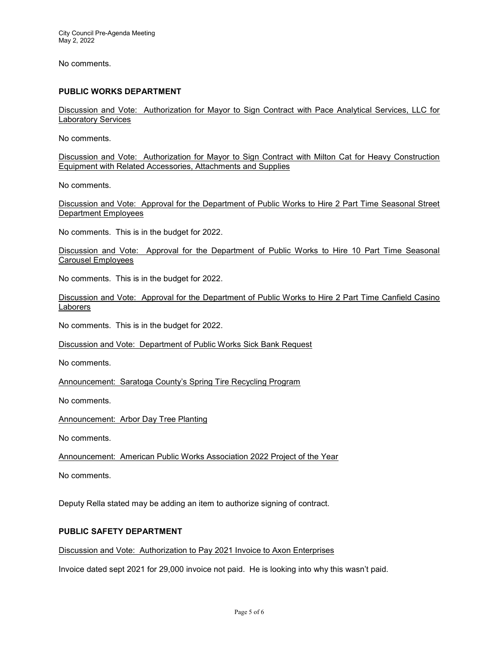No comments.

# PUBLIC WORKS DEPARTMENT

Discussion and Vote: Authorization for Mayor to Sign Contract with Pace Analytical Services, LLC for Laboratory Services

No comments.

Discussion and Vote: Authorization for Mayor to Sign Contract with Milton Cat for Heavy Construction Equipment with Related Accessories, Attachments and Supplies

No comments.

Discussion and Vote: Approval for the Department of Public Works to Hire 2 Part Time Seasonal Street Department Employees

No comments. This is in the budget for 2022.

Discussion and Vote: Approval for the Department of Public Works to Hire 10 Part Time Seasonal Carousel Employees

No comments. This is in the budget for 2022.

Discussion and Vote: Approval for the Department of Public Works to Hire 2 Part Time Canfield Casino Laborers

No comments. This is in the budget for 2022.

Discussion and Vote: Department of Public Works Sick Bank Request

No comments.

Announcement: Saratoga County's Spring Tire Recycling Program

No comments.

Announcement: Arbor Day Tree Planting

No comments.

Announcement: American Public Works Association 2022 Project of the Year

No comments.

Deputy Rella stated may be adding an item to authorize signing of contract.

## PUBLIC SAFETY DEPARTMENT

Discussion and Vote: Authorization to Pay 2021 Invoice to Axon Enterprises

Invoice dated sept 2021 for 29,000 invoice not paid. He is looking into why this wasn't paid.